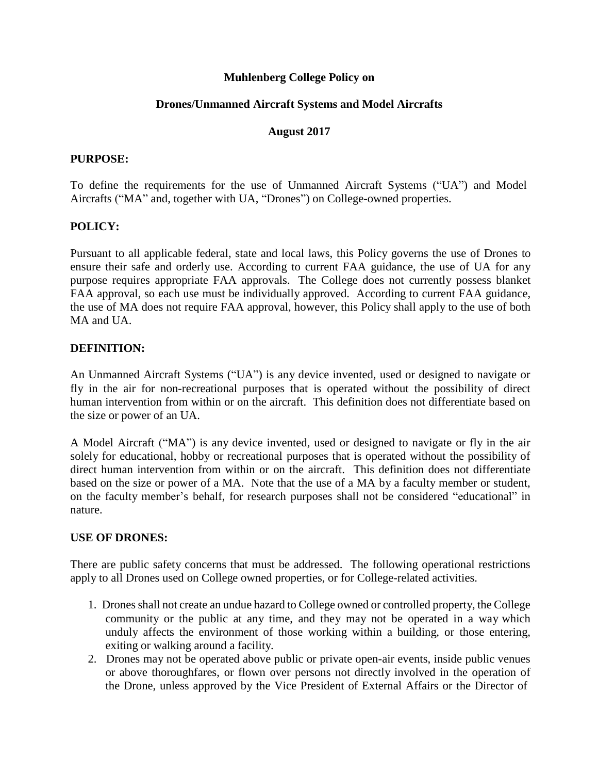### **Muhlenberg College Policy on**

## **Drones/Unmanned Aircraft Systems and Model Aircrafts**

### **August 2017**

#### **PURPOSE:**

To define the requirements for the use of Unmanned Aircraft Systems ("UA") and Model Aircrafts ("MA" and, together with UA, "Drones") on College-owned properties.

### **POLICY:**

Pursuant to all applicable federal, state and local laws, this Policy governs the use of Drones to ensure their safe and orderly use. According to current FAA guidance, the use of UA for any purpose requires appropriate FAA approvals. The College does not currently possess blanket FAA approval, so each use must be individually approved. According to current FAA guidance, the use of MA does not require FAA approval, however, this Policy shall apply to the use of both MA and UA.

### **DEFINITION:**

An Unmanned Aircraft Systems ("UA") is any device invented, used or designed to navigate or fly in the air for non-recreational purposes that is operated without the possibility of direct human intervention from within or on the aircraft. This definition does not differentiate based on the size or power of an UA.

A Model Aircraft ("MA") is any device invented, used or designed to navigate or fly in the air solely for educational, hobby or recreational purposes that is operated without the possibility of direct human intervention from within or on the aircraft. This definition does not differentiate based on the size or power of a MA. Note that the use of a MA by a faculty member or student, on the faculty member's behalf, for research purposes shall not be considered "educational" in nature.

### **USE OF DRONES:**

There are public safety concerns that must be addressed. The following operational restrictions apply to all Drones used on College owned properties, or for College-related activities.

- 1. Dronesshall not create an undue hazard to College owned or controlled property, the College community or the public at any time, and they may not be operated in a way which unduly affects the environment of those working within a building, or those entering, exiting or walking around a facility.
- 2. Drones may not be operated above public or private open-air events, inside public venues or above thoroughfares, or flown over persons not directly involved in the operation of the Drone, unless approved by the Vice President of External Affairs or the Director of